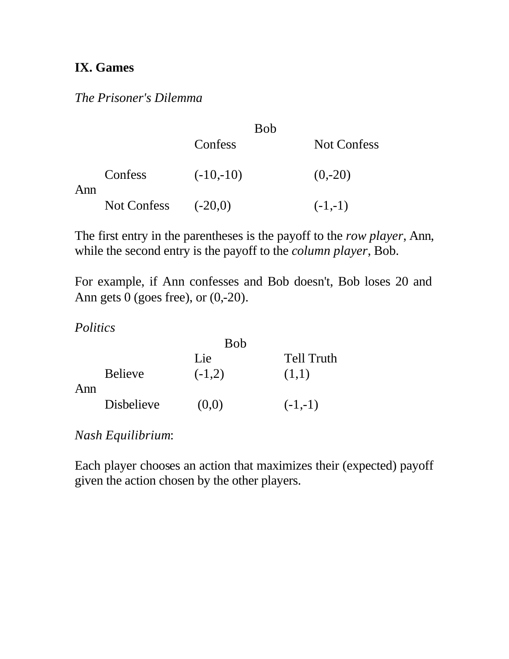## **IX. Games**

*The Prisoner's Dilemma*

|     |             | <b>Bob</b>  |                    |
|-----|-------------|-------------|--------------------|
|     |             | Confess     | <b>Not Confess</b> |
| Ann | Confess     | $(-10,-10)$ | $(0,-20)$          |
|     | Not Confess | $(-20,0)$   | $(-1,-1)$          |

The first entry in the parentheses is the payoff to the *row player*, Ann, while the second entry is the payoff to the *column player*, Bob.

For example, if Ann confesses and Bob doesn't, Bob loses 20 and Ann gets  $0$  (goes free), or  $(0,-20)$ .

*Politics*

|     |                   | <b>Bob</b> |                   |
|-----|-------------------|------------|-------------------|
|     |                   | Lie        | <b>Tell Truth</b> |
| Ann | <b>Believe</b>    | $(-1,2)$   | (1,1)             |
|     | <b>Disbelieve</b> | (0,0)      | $(-1,-1)$         |

*Nash Equilibrium*:

Each player chooses an action that maximizes their (expected) payoff given the action chosen by the other players.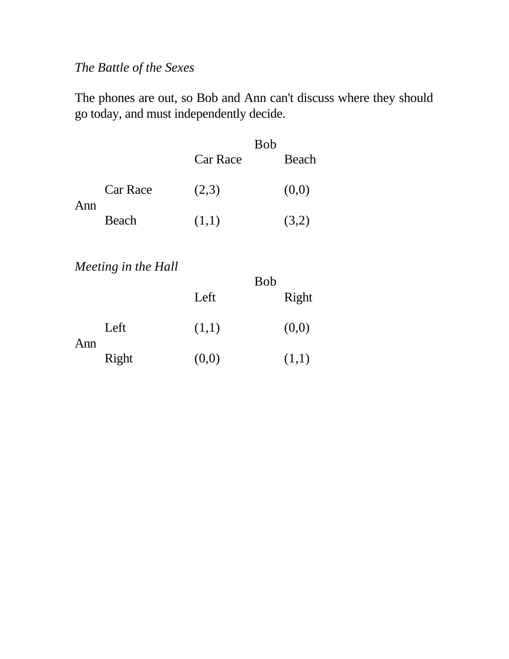# *The Battle of the Sexes*

The phones are out, so Bob and Ann can't discuss where they should go today, and must independently decide.

|     |                 |          | <b>Bob</b> |
|-----|-----------------|----------|------------|
|     |                 | Car Race | Beach      |
| Ann | <b>Car Race</b> | (2,3)    | (0,0)      |
|     | Beach           | (1,1)    | (3,2)      |

## *Meeting in the Hall*

|     |       |       | <b>Bob</b> |       |
|-----|-------|-------|------------|-------|
|     |       | Left  |            | Right |
| Ann | Left  | (1,1) |            | (0,0) |
|     | Right | (0,0) |            | (1,1) |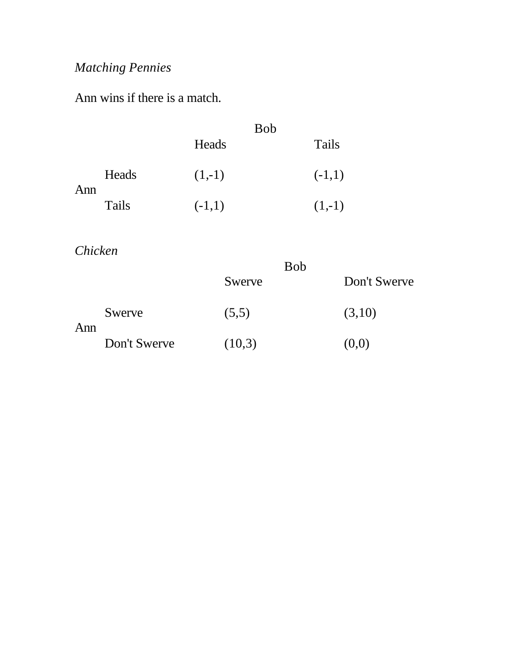# *Matching Pennies*

Ann wins if there is a match.

|     |       |          | <b>Bob</b> |          |
|-----|-------|----------|------------|----------|
|     |       | Heads    |            | Tails    |
| Ann | Heads | $(1,-1)$ |            | $(-1,1)$ |
|     | Tails | $(-1,1)$ |            | $(1,-1)$ |

*Chicken*

|     |              | <b>Bob</b> |              |
|-----|--------------|------------|--------------|
|     |              | Swerve     | Don't Swerve |
| Ann | Swerve       | (5,5)      | (3,10)       |
|     | Don't Swerve | (10,3)     | (0,0)        |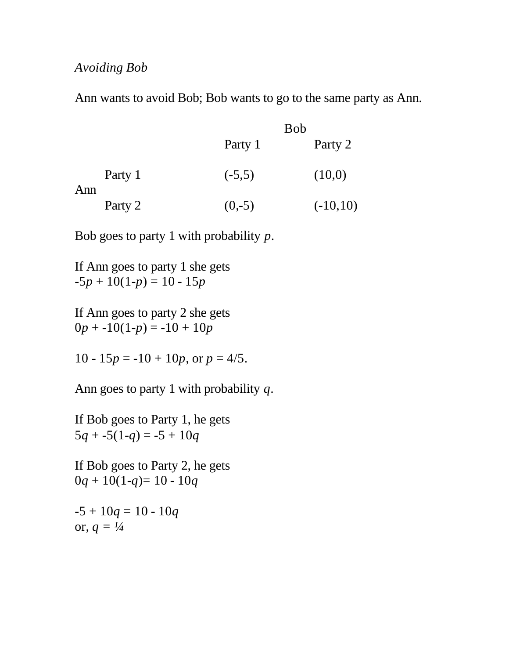#### *Avoiding Bob*

Ann wants to avoid Bob; Bob wants to go to the same party as Ann.

|     |         | <b>Bob</b> |            |
|-----|---------|------------|------------|
|     |         | Party 1    | Party 2    |
| Ann | Party 1 | $(-5,5)$   | (10,0)     |
|     | Party 2 | $(0,-5)$   | $(-10,10)$ |

Bob goes to party 1 with probability *p*.

If Ann goes to party 1 she gets  $-5p + 10(1-p) = 10 - 15p$ 

If Ann goes to party 2 she gets  $0p + -10(1-p) = -10 + 10p$ 

10 - 15 $p = -10 + 10p$ , or  $p = 4/5$ .

Ann goes to party 1 with probability *q*.

If Bob goes to Party 1, he gets  $5q + -5(1-q) = -5 + 10q$ 

If Bob goes to Party 2, he gets  $0q + 10(1-q) = 10 - 10q$ 

 $-5 + 10q = 10 - 10q$ or,  $q = \frac{1}{4}$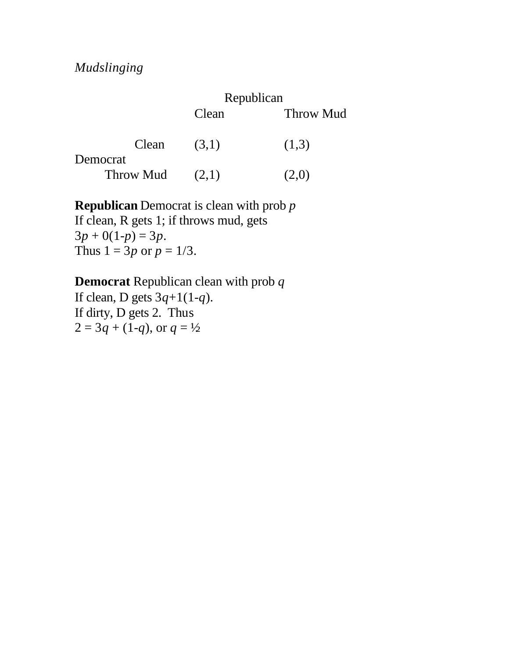|                   | Republican |                  |
|-------------------|------------|------------------|
|                   | Clean      | <b>Throw Mud</b> |
| Clean<br>Democrat | (3,1)      | (1,3)            |
| Throw Mud         | (2,1)      | (2,0)            |

**Republican** Democrat is clean with prob *p* If clean, R gets 1; if throws mud, gets  $3p + 0(1-p) = 3p$ . Thus  $1 = 3p$  or  $p = 1/3$ .

**Democrat** Republican clean with prob *q* If clean, D gets 3*q*+1(1-*q*). If dirty, D gets 2. Thus  $2 = 3q + (1-q)$ , or  $q = \frac{1}{2}$ .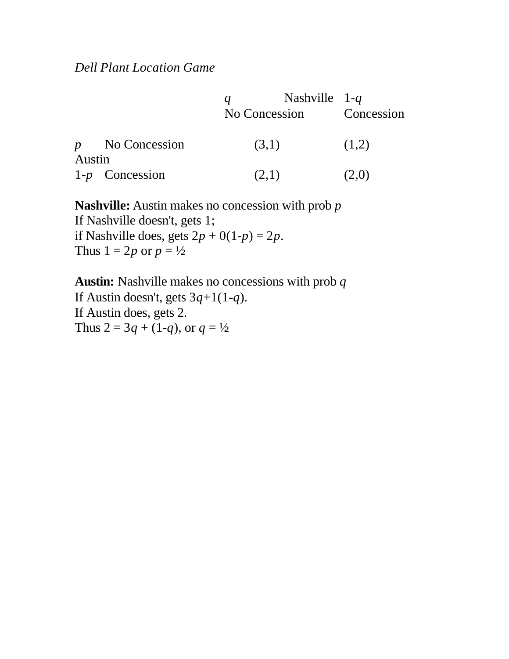|        |                   | $q \sim$<br>No Concession | Nashville $1-q$ | Concession |
|--------|-------------------|---------------------------|-----------------|------------|
| Austin | $p$ No Concession | (3,1)                     |                 | (1,2)      |
|        | $1-p$ Concession  | (2,1)                     |                 | (2,0)      |

**Nashville:** Austin makes no concession with prob *p* If Nashville doesn't, gets 1; if Nashville does, gets  $2p + 0(1-p) = 2p$ . Thus  $1 = 2p$  or  $p = \frac{1}{2}$ .

**Austin:** Nashville makes no concessions with prob *q* If Austin doesn't, gets 3*q*+1(1-*q*). If Austin does, gets 2. Thus  $2 = 3q + (1-q)$ , or  $q = \frac{1}{2}$ .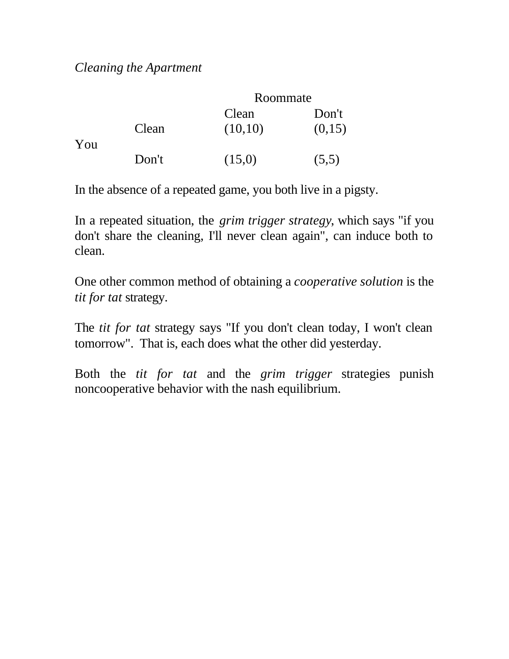### *Cleaning the Apartment*

|     |       | Roommate         |                 |
|-----|-------|------------------|-----------------|
| You | Clean | Clean<br>(10,10) | Don't<br>(0,15) |
|     | Don't | (15,0)           | (5,5)           |

In the absence of a repeated game, you both live in a pigsty.

In a repeated situation, the *grim trigger strategy*, which says "if you don't share the cleaning, I'll never clean again", can induce both to clean.

One other common method of obtaining a *cooperative solution* is the *tit for tat* strategy.

The *tit for tat* strategy says "If you don't clean today, I won't clean tomorrow". That is, each does what the other did yesterday.

Both the *tit for tat* and the *grim trigger* strategies punish noncooperative behavior with the nash equilibrium.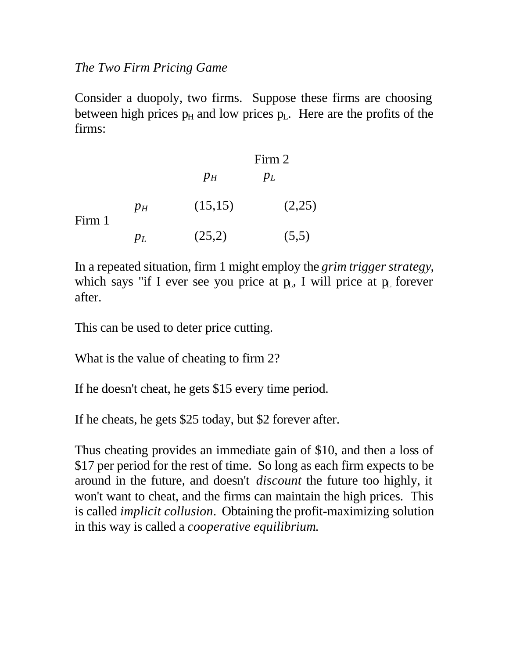### *The Two Firm Pricing Game*

Consider a duopoly, two firms. Suppose these firms are choosing between high prices  $p_H$  and low prices  $p_L$ . Here are the profits of the firms:

|        |         | Firm 2  |        |
|--------|---------|---------|--------|
|        |         | $p_H$   | $p_L$  |
| Firm 1 | $p_H$   | (15,15) | (2,25) |
|        | $p_{L}$ | (25,2)  | (5,5)  |

In a repeated situation, firm 1 might employ the *grim trigger strategy*, which says "if I ever see you price at  $p<sub>L</sub>$ , I will price at  $p<sub>L</sub>$  forever after.

This can be used to deter price cutting.

What is the value of cheating to firm 2?

If he doesn't cheat, he gets \$15 every time period.

If he cheats, he gets \$25 today, but \$2 forever after.

Thus cheating provides an immediate gain of \$10, and then a loss of \$17 per period for the rest of time. So long as each firm expects to be around in the future, and doesn't *discount* the future too highly, it won't want to cheat, and the firms can maintain the high prices. This is called *implicit collusion*. Obtaining the profit-maximizing solution in this way is called a *cooperative equilibrium*.